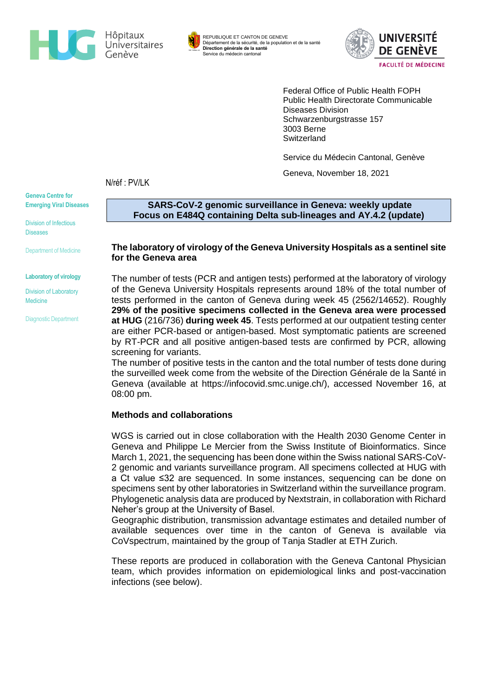

REPUBLIQUE ET CANTON DE GENEVE Département de la sécurité, de la population et de la santé **Direction générale de la santé** Service du médecin cantonal



Federal Office of Public Health FOPH Public Health Directorate Communicable Diseases Division Schwarzenburgstrasse 157 3003 Berne **Switzerland** 

Service du Médecin Cantonal, Genève

Geneva, November 18, 2021

N/réf : PV/LK

**Geneva Centre for Emerging Viral Diseases**

Division of Infectious **Diseases** 

Department of Medicine

**Laboratory of virology**

Division of Laboratory Medicine

Diagnostic Department

**SARS-CoV-2 genomic surveillance in Geneva: weekly update Focus on E484Q containing Delta sub-lineages and AY.4.2 (update)**

## **The laboratory of virology of the Geneva University Hospitals as a sentinel site for the Geneva area**

The number of tests (PCR and antigen tests) performed at the laboratory of virology of the Geneva University Hospitals represents around 18% of the total number of tests performed in the canton of Geneva during week 45 (2562/14652). Roughly **29% of the positive specimens collected in the Geneva area were processed at HUG** (216/736) **during week 45**. Tests performed at our outpatient testing center are either PCR-based or antigen-based. Most symptomatic patients are screened by RT-PCR and all positive antigen-based tests are confirmed by PCR, allowing screening for variants.

The number of positive tests in the canton and the total number of tests done during the surveilled week come from the website of the Direction Générale de la Santé in Geneva (available at [https://infocovid.smc.unige.ch/\)](https://infocovid.smc.unige.ch/), accessed November 16, at 08:00 pm.

# **Methods and collaborations**

WGS is carried out in close collaboration with the Health 2030 Genome Center in Geneva and Philippe Le Mercier from the Swiss Institute of Bioinformatics. Since March 1, 2021, the sequencing has been done within the Swiss national SARS-CoV-2 genomic and variants surveillance program. All specimens collected at HUG with a Ct value ≤32 are sequenced. In some instances, sequencing can be done on specimens sent by other laboratories in Switzerland within the surveillance program. Phylogenetic analysis data are produced by Nextstrain, in collaboration with Richard Neher's group at the University of Basel.

Geographic distribution, transmission advantage estimates and detailed number of available sequences over time in the canton of Geneva is available via CoVspectrum, maintained by the group of Tanja Stadler at ETH Zurich.

These reports are produced in collaboration with the Geneva Cantonal Physician team, which provides information on epidemiological links and post-vaccination infections (see below).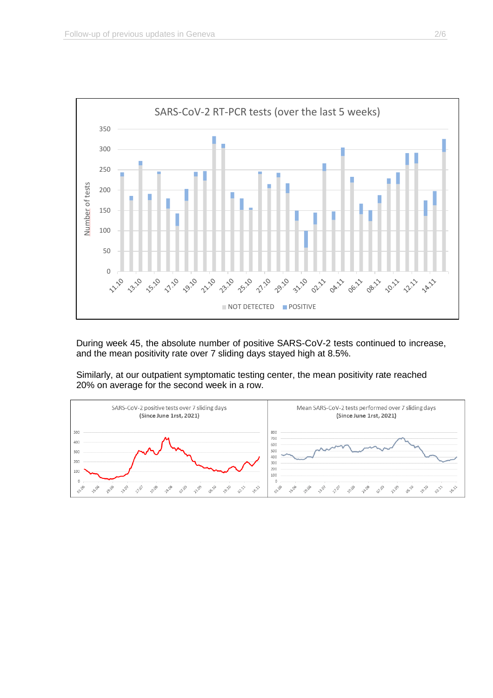

During week 45, the absolute number of positive SARS-CoV-2 tests continued to increase, and the mean positivity rate over 7 sliding days stayed high at 8.5%.

Similarly, at our outpatient symptomatic testing center, the mean positivity rate reached 20% on average for the second week in a row.

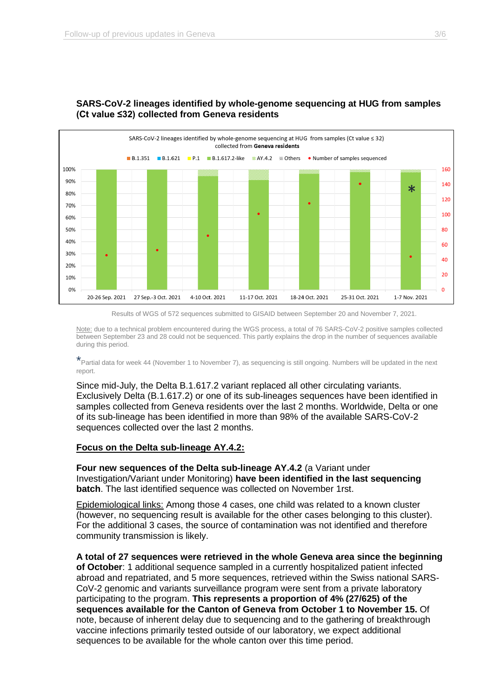

# **SARS-CoV-2 lineages identified by whole-genome sequencing at HUG from samples (Ct value ≤32) collected from Geneva residents**



Note: due to a technical problem encountered during the WGS process, a total of 76 SARS-CoV-2 positive samples collected between September 23 and 28 could not be sequenced. This partly explains the drop in the number of sequences available during this period.

\*Partial data for week 44 (November 1 to November 7), as sequencing is still ongoing. Numbers will be updated in the next report.

Since mid-July, the Delta B.1.617.2 variant replaced all other circulating variants. Exclusively Delta (B.1.617.2) or one of its sub-lineages sequences have been identified in samples collected from Geneva residents over the last 2 months. Worldwide, Delta or one of its sub-lineage has been identified in more than 98% of the available SARS-CoV-2 sequences collected over the last 2 months.

#### **Focus on the Delta sub-lineage AY.4.2:**

**Four new sequences of the Delta sub-lineage AY.4.2** (a Variant under Investigation/Variant under Monitoring) **have been identified in the last sequencing batch**. The last identified sequence was collected on November 1rst.

Epidemiological links: Among those 4 cases, one child was related to a known cluster (however, no sequencing result is available for the other cases belonging to this cluster). For the additional 3 cases, the source of contamination was not identified and therefore community transmission is likely.

**A total of 27 sequences were retrieved in the whole Geneva area since the beginning of October**: 1 additional sequence sampled in a currently hospitalized patient infected abroad and repatriated, and 5 more sequences, retrieved within the Swiss national SARS-CoV-2 genomic and variants surveillance program were sent from a private laboratory participating to the program. **This represents a proportion of 4% (27/625) of the sequences available for the Canton of Geneva from October 1 to November 15.** Of note, because of inherent delay due to sequencing and to the gathering of breakthrough vaccine infections primarily tested outside of our laboratory, we expect additional sequences to be available for the whole canton over this time period.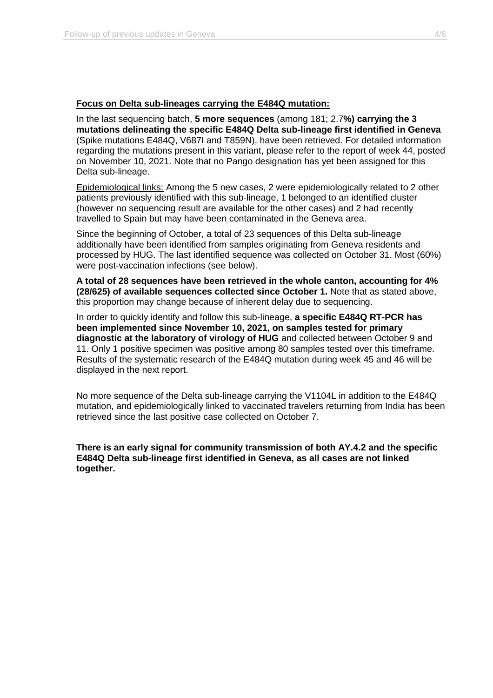#### **Focus on Delta sub-lineages carrying the E484Q mutation:**

In the last sequencing batch, **5 more sequences** (among 181; 2.7**%) carrying the 3 mutations delineating the specific E484Q Delta sub-lineage first identified in Geneva** (Spike mutations E484Q, V687I and T859N), have been retrieved. For detailed information regarding the mutations present in this variant, please refer to the report of week 44, posted on November 10, 2021. Note that no Pango designation has yet been assigned for this Delta sub-lineage.

Epidemiological links: Among the 5 new cases, 2 were epidemiologically related to 2 other patients previously identified with this sub-lineage, 1 belonged to an identified cluster (however no sequencing result are available for the other cases) and 2 had recently travelled to Spain but may have been contaminated in the Geneva area.

Since the beginning of October, a total of 23 sequences of this Delta sub-lineage additionally have been identified from samples originating from Geneva residents and processed by HUG. The last identified sequence was collected on October 31. Most (60%) were post-vaccination infections (see below).

**A total of 28 sequences have been retrieved in the whole canton, accounting for 4% (28/625) of available sequences collected since October 1.** Note that as stated above, this proportion may change because of inherent delay due to sequencing.

In order to quickly identify and follow this sub-lineage, **a specific E484Q RT-PCR has been implemented since November 10, 2021, on samples tested for primary diagnostic at the laboratory of virology of HUG** and collected between October 9 and 11. Only 1 positive specimen was positive among 80 samples tested over this timeframe. Results of the systematic research of the E484Q mutation during week 45 and 46 will be displayed in the next report.

No more sequence of the Delta sub-lineage carrying the V1104L in addition to the E484Q mutation, and epidemiologically linked to vaccinated travelers returning from India has been retrieved since the last positive case collected on October 7.

**There is an early signal for community transmission of both AY.4.2 and the specific E484Q Delta sub-lineage first identified in Geneva, as all cases are not linked together.**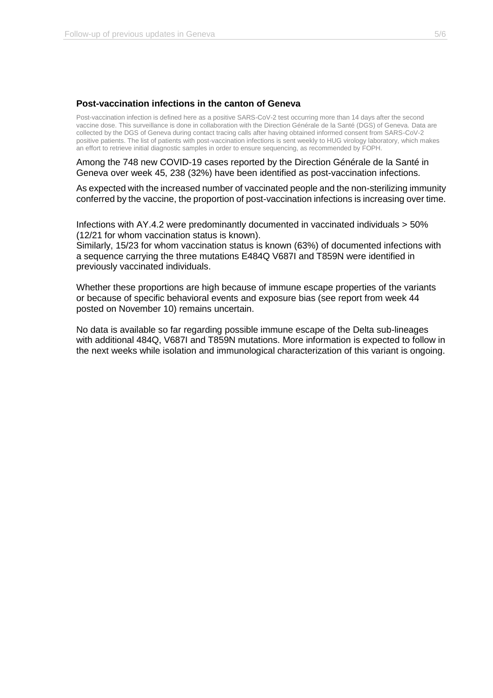#### **Post-vaccination infections in the canton of Geneva**

Post-vaccination infection is defined here as a positive SARS-CoV-2 test occurring more than 14 days after the second vaccine dose. This surveillance is done in collaboration with the Direction Générale de la Santé (DGS) of Geneva. Data are collected by the DGS of Geneva during contact tracing calls after having obtained informed consent from SARS-CoV-2 positive patients. The list of patients with post-vaccination infections is sent weekly to HUG virology laboratory, which makes an effort to retrieve initial diagnostic samples in order to ensure sequencing, as recommended by FOPH.

Among the 748 new COVID-19 cases reported by the Direction Générale de la Santé in Geneva over week 45, 238 (32%) have been identified as post-vaccination infections.

As expected with the increased number of vaccinated people and the non-sterilizing immunity conferred by the vaccine, the proportion of post-vaccination infections is increasing over time.

Infections with AY.4.2 were predominantly documented in vaccinated individuals > 50% (12/21 for whom vaccination status is known).

Similarly, 15/23 for whom vaccination status is known (63%) of documented infections with a sequence carrying the three mutations E484Q V687I and T859N were identified in previously vaccinated individuals.

Whether these proportions are high because of immune escape properties of the variants or because of specific behavioral events and exposure bias (see report from week 44 posted on November 10) remains uncertain.

No data is available so far regarding possible immune escape of the Delta sub-lineages with additional 484Q, V687I and T859N mutations. More information is expected to follow in the next weeks while isolation and immunological characterization of this variant is ongoing.